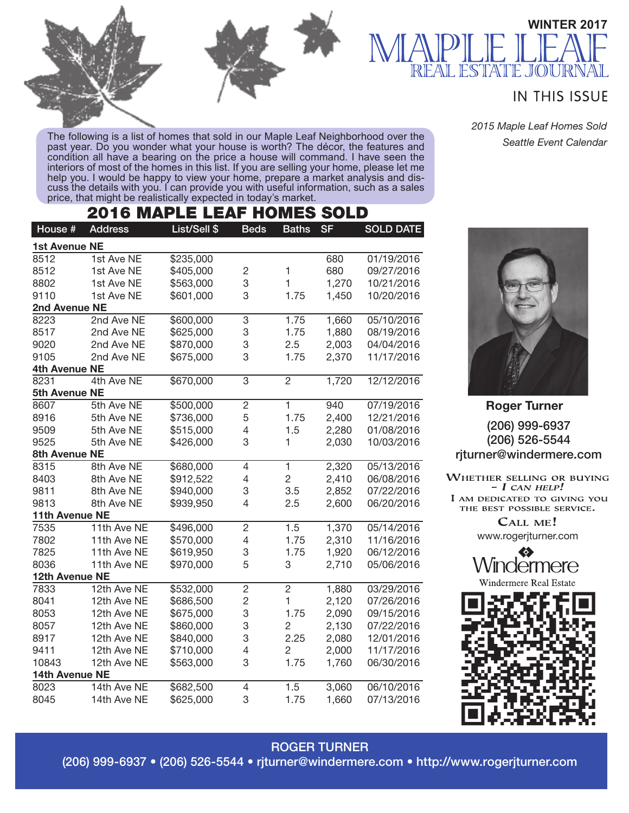

The following is a list of homes that sold in our Maple Leaf Neighborhood over the past year. Do you wonder what your house is worth? The décor, the features and condition all have a bearing on the price a house will command. I have seen the interiors of most of the homes in this list. If you are selling your home, please let me help you. I would be happy to view your home, prepare a market analysis and dis-<br>cuss the details with you. I can provide you with useful information, such as a sales price, that might be realistically expected in today's market.

# 2016 MAPLE LEAF HOMES SOLD

| House #              | <b>Address</b> | List/Sell \$ | <b>Beds</b>    | <b>Baths</b>   | <b>SF</b> | <b>SOLD DATE</b> |  |  |  |
|----------------------|----------------|--------------|----------------|----------------|-----------|------------------|--|--|--|
| <b>1st Avenue NE</b> |                |              |                |                |           |                  |  |  |  |
| 8512                 | 1st Ave NE     | \$235,000    |                |                | 680       | 01/19/2016       |  |  |  |
| 8512                 | 1st Ave NE     | \$405,000    | $\overline{c}$ | $\mathbf{1}$   | 680       | 09/27/2016       |  |  |  |
| 8802                 | 1st Ave NE     | \$563,000    | 3              | $\mathbf{1}$   | 1,270     | 10/21/2016       |  |  |  |
| 9110                 | 1st Ave NE     | \$601,000    | 3              | 1.75           | 1,450     | 10/20/2016       |  |  |  |
| 2nd Avenue NE        |                |              |                |                |           |                  |  |  |  |
| 8223                 | 2nd Ave NE     | \$600,000    | 3              | 1.75           | 1,660     | 05/10/2016       |  |  |  |
| 8517                 | 2nd Ave NE     | \$625,000    | 3              | 1.75           | 1,880     | 08/19/2016       |  |  |  |
| 9020                 | 2nd Ave NE     | \$870,000    | 3              | 2.5            | 2,003     | 04/04/2016       |  |  |  |
| 9105                 | 2nd Ave NE     | \$675,000    | 3              | 1.75           | 2,370     | 11/17/2016       |  |  |  |
| 4th Avenue NE        |                |              |                |                |           |                  |  |  |  |
| 8231                 | 4th Ave NE     | \$670,000    | 3              | $\overline{2}$ | 1,720     | 12/12/2016       |  |  |  |
| 5th Avenue NE        |                |              |                |                |           |                  |  |  |  |
| 8607                 | 5th Ave NE     | \$500,000    | $\overline{2}$ | $\overline{1}$ | 940       | 07/19/2016       |  |  |  |
| 8916                 | 5th Ave NE     | \$736,000    | 5              | 1.75           | 2,400     | 12/21/2016       |  |  |  |
| 9509                 | 5th Ave NE     | \$515,000    | 4              | 1.5            | 2,280     | 01/08/2016       |  |  |  |
| 9525                 | 5th Ave NE     | \$426,000    | 3              | 1              | 2,030     | 10/03/2016       |  |  |  |
| 8th Avenue NE        |                |              |                |                |           |                  |  |  |  |
| 8315                 | 8th Ave NE     | \$680,000    | 4              | $\overline{1}$ | 2,320     | 05/13/2016       |  |  |  |
| 8403                 | 8th Ave NE     | \$912,522    | 4              | $\overline{c}$ | 2,410     | 06/08/2016       |  |  |  |
| 9811                 | 8th Ave NE     | \$940,000    | 3              | 3.5            | 2,852     | 07/22/2016       |  |  |  |
| 9813                 | 8th Ave NE     | \$939,950    | 4              | 2.5            | 2,600     | 06/20/2016       |  |  |  |
| 11th Avenue NE       |                |              |                |                |           |                  |  |  |  |
| 7535                 | 11th Ave NE    | \$496,000    | $\overline{c}$ | 1.5            | 1,370     | 05/14/2016       |  |  |  |
| 7802                 | 11th Ave NE    | \$570,000    | 4              | 1.75           | 2,310     | 11/16/2016       |  |  |  |
| 7825                 | 11th Ave NE    | \$619,950    | 3              | 1.75           | 1,920     | 06/12/2016       |  |  |  |
| 8036                 | 11th Ave NE    | \$970,000    | 5              | 3              | 2,710     | 05/06/2016       |  |  |  |
| 12th Avenue NE       |                |              |                |                |           |                  |  |  |  |
| 7833                 | 12th Ave NE    | \$532,000    | $\overline{c}$ | $\overline{2}$ | 1,880     | 03/29/2016       |  |  |  |
| 8041                 | 12th Ave NE    | \$686,500    | $\overline{c}$ | $\mathbf{1}$   | 2,120     | 07/26/2016       |  |  |  |
| 8053                 | 12th Ave NE    | \$675,000    | 3              | 1.75           | 2,090     | 09/15/2016       |  |  |  |
| 8057                 | 12th Ave NE    | \$860,000    | 3              | $\overline{2}$ | 2,130     | 07/22/2016       |  |  |  |
| 8917                 | 12th Ave NE    | \$840,000    | 3              | 2.25           | 2,080     | 12/01/2016       |  |  |  |
| 9411                 | 12th Ave NE    | \$710,000    | 4              | 2              | 2,000     | 11/17/2016       |  |  |  |
| 10843                | 12th Ave NE    | \$563,000    | 3              | 1.75           | 1,760     | 06/30/2016       |  |  |  |
| 14th Avenue NE       |                |              |                |                |           |                  |  |  |  |
| 8023                 | 14th Ave NE    | \$682,500    | 4              | 1.5            | 3,060     | 06/10/2016       |  |  |  |
| 8045                 | 14th Ave NE    | \$625,000    | 3              | 1.75           | 1,660     | 07/13/2016       |  |  |  |

#### **IN THIS ISSUE**

JOUR

**WINTER 2017**

*2015 Maple Leaf Homes Sold Seattle Event Calendar*



(206) 999-6937 (206) 526-5544 rjturner@windermere.com **Roger Turner**

WHETHER SELLING OR BUYING  $- I$  CAN HELP! I AM DEDICATED TO GIVING YOU THE BEST POSSIBLE SERVICE. CALL ME!

www.rogerjturner.com

 $\bullet$ . dermere Estate



#### ROGER TURNER

(206) 999-6937 • (206) 526-5544 • rjturner@windermere.com • http://www.rogerjturner.com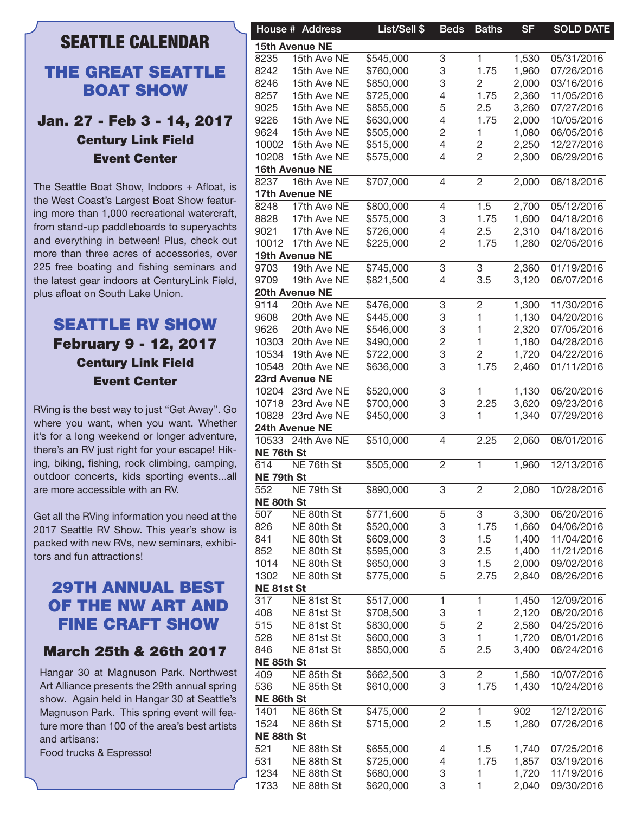## SEATTLE CALENDAR

#### THE GREAT SEATTLE BOAT SHOW

#### Jan. 27 - Feb 3 - 14, 2017 Century Link Field Event Center

The Seattle Boat Show, Indoors + Afloat, is the West Coast's Largest Boat Show featuring more than 1,000 recreational watercraft, from stand-up paddleboards to superyachts and everything in between! Plus, check out more than three acres of accessories, over 225 free boating and fishing seminars and the latest gear indoors at CenturyLink Field, plus afloat on South Lake Union.

### SEATTLE RV SHOW February 9 - 12, 2017 Century Link Field Event Center

RVing is the best way to just "Get Away". Go where you want, when you want. Whether it's for a long weekend or longer adventure, there's an RV just right for your escape! Hiking, biking, fishing, rock climbing, camping, outdoor concerts, kids sporting events...all are more accessible with an RV.

Get all the RVing information you need at the 2017 Seattle RV Show. This year's show is packed with new RVs, new seminars, exhibitors and fun attractions!

### 29TH ANNUAL BEST OF THE NW ART AND FINE CRAFT SHOW

#### March 25th & 26th 2017

Hangar 30 at Magnuson Park. Northwest Art Alliance presents the 29th annual spring show. Again held in Hangar 30 at Seattle's Magnuson Park. This spring event will feature more than 100 of the area's best artists and artisans:

Food trucks & Espresso!

|            | House # Address       | List/Sell \$ | <b>Beds</b>           | <b>Baths</b>   | <b>SF</b> | <b>SOLD DATE</b> |
|------------|-----------------------|--------------|-----------------------|----------------|-----------|------------------|
|            |                       |              |                       |                |           |                  |
|            | <b>15th Avenue NE</b> |              |                       |                |           |                  |
| 8235       | 15th Ave NE           | \$545,000    | 3                     | 1.             | 1,530     | 05/31/2016       |
| 8242       | 15th Ave NE           | \$760,000    | 3                     | 1.75           | 1,960     | 07/26/2016       |
| 8246       | 15th Ave NE           | \$850,000    | 3                     | 2              | 2,000     | 03/16/2016       |
| 8257       | 15th Ave NE           | \$725,000    | $\overline{4}$        | 1.75           | 2,360     | 11/05/2016       |
| 9025       | 15th Ave NE           | \$855,000    | 5                     | 2.5            | 3,260     | 07/27/2016       |
| 9226       | 15th Ave NE           | \$630,000    | $\overline{4}$        | 1.75           | 2,000     | 10/05/2016       |
| 9624       | 15th Ave NE           | \$505,000    | $\mathbf{2}$          |                | 1,080     | 06/05/2016       |
| 10002      | 15th Ave NE           | \$515,000    | 4                     | 2              | 2,250     | 12/27/2016       |
| 10208      | 15th Ave NE           | \$575,000    | 4                     | 2              | 2,300     | 06/29/2016       |
|            |                       |              |                       |                |           |                  |
|            | 16th Avenue NE        |              |                       |                |           |                  |
| 8237       | 16th Ave NE           | \$707,000    | 4                     | 2              | 2,000     | 06/18/2016       |
|            | 17th Avenue NE        |              |                       |                |           |                  |
| 8248       | 17th Ave NE           | \$800,000    | 4                     | 1.5            | 2,700     | 05/12/2016       |
| 8828       | 17th Ave NE           | \$575,000    | 3                     | 1.75           | 1,600     | 04/18/2016       |
| 9021       | 17th Ave NE           | \$726,000    | 4                     | 2.5            | 2,310     | 04/18/2016       |
|            | 10012 17th Ave NE     | \$225,000    | 2                     | 1.75           | 1,280     | 02/05/2016       |
|            |                       |              |                       |                |           |                  |
|            | 19th Avenue NE        |              |                       |                |           |                  |
| 9703       | 19th Ave NE           | \$745,000    | 3                     | 3              | 2,360     | 01/19/2016       |
| 9709       | 19th Ave NE           | \$821,500    | 4                     | 3.5            | 3,120     | 06/07/2016       |
|            | 20th Avenue NE        |              |                       |                |           |                  |
| 9114       | 20th Ave NE           | \$476,000    | 3                     | 2              | 1,300     | 11/30/2016       |
| 9608       | 20th Ave NE           | \$445,000    | 3                     |                | 1,130     | 04/20/2016       |
| 9626       | 20th Ave NE           | \$546,000    | 3                     |                | 2,320     | 07/05/2016       |
| 10303      | 20th Ave NE           | \$490,000    | $\sqrt{2}$            |                | 1,180     | 04/28/2016       |
| 10534      | 19th Ave NE           | \$722,000    | 3                     | 2              | 1,720     | 04/22/2016       |
|            |                       |              |                       |                |           |                  |
| 10548      | 20th Ave NE           | \$636,000    | 3                     | 1.75           | 2,460     | 01/11/2016       |
|            | 23rd Avenue NE        |              |                       |                |           |                  |
|            | 10204 23rd Ave NE     | \$520,000    | 3                     | 1.             | 1,130     | 06/20/2016       |
| 10718      | 23rd Ave NE           | \$700,000    | 3                     | 2.25           | 3,620     | 09/23/2016       |
|            | 10828 23rd Ave NE     | \$450,000    | 3                     |                | 1,340     | 07/29/2016       |
|            | 24th Avenue NE        |              |                       |                |           |                  |
|            | 10533 24th Ave NE     | \$510,000    |                       |                |           |                  |
|            |                       |              | 4                     | 2.25           | 2,060     | 08/01/2016       |
| NE 76th St |                       |              |                       |                |           |                  |
| 614        | NE 76th St            | \$505,000    | $\mathbf{2}^{\prime}$ | 1.             | 1,960     | 12/13/2016       |
| NE 79th St |                       |              |                       |                |           |                  |
| 552        | NE 79th St            | \$890,000    | 3                     | 2              | 2,080     | 10/28/2016       |
| NE 80th St |                       |              |                       |                |           |                  |
| 507        | NE 80th St            | \$771,600    | 5                     | 3              | 3,300     | 06/20/2016       |
| 826        | NE 80th St            | \$520,000    | 3                     | 1.75           | 1,660     | 04/06/2016       |
|            |                       |              |                       |                |           |                  |
| 841        | NE 80th St            | \$609,000    | 3                     | 1.5            | 1,400     | 11/04/2016       |
| 852        | NE 80th St            | \$595,000    | 3                     | 2.5            | 1,400     | 11/21/2016       |
| 1014       | NE 80th St            | \$650,000    | 3                     | 1.5            | 2,000     | 09/02/2016       |
| 1302       | NE 80th St            | \$775,000    | 5                     | 2.75           | 2,840     | 08/26/2016       |
| NE81st St  |                       |              |                       |                |           |                  |
| 317        | NE 81st St            | \$517,000    | 1                     |                | 1,450     | 12/09/2016       |
| 408        | NE 81st St            | \$708,500    | 3                     |                | 2,120     | 08/20/2016       |
|            |                       |              |                       |                |           |                  |
| 515        | NE 81st St            | \$830,000    | $\mathbf 5$           | 2              | 2,580     | 04/25/2016       |
| 528        | NE 81st St            | \$600,000    | 3                     |                | 1,720     | 08/01/2016       |
| 846        | NE 81st St            | \$850,000    | 5                     | 2.5            | 3,400     | 06/24/2016       |
| NE 85th St |                       |              |                       |                |           |                  |
| 409        | NE 85th St            | \$662,500    | 3                     | $\overline{2}$ | 1,580     | 10/07/2016       |
| 536        | NE 85th St            | \$610,000    | 3                     | 1.75           | 1,430     | 10/24/2016       |
| NE 86th St |                       |              |                       |                |           |                  |
|            |                       |              |                       |                |           |                  |
| 1401       | NE 86th St            | \$475,000    | 2                     | 1.             | 902       | 12/12/2016       |
| 1524       | NE 86th St            | \$715,000    | $\overline{c}$        | 1.5            | 1,280     | 07/26/2016       |
| NE 88th St |                       |              |                       |                |           |                  |
| 521        | NE 88th St            | \$655,000    | 4                     | 1.5            | 1,740     | 07/25/2016       |
| 531        | NE 88th St            | \$725,000    | 4                     | 1.75           | 1,857     | 03/19/2016       |
| 1234       | NE 88th St            | \$680,000    | 3                     |                | 1,720     | 11/19/2016       |
| 1733       |                       |              | 3                     |                |           | 09/30/2016       |
|            | NE 88th St            | \$620,000    |                       |                | 2,040     |                  |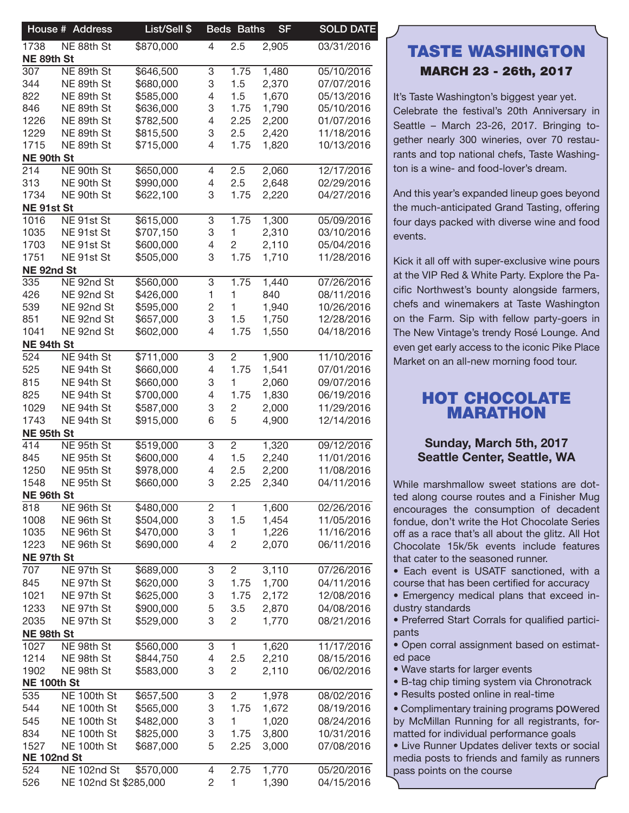|                    | House # Address       | List/Sell \$ |                | <b>Beds Baths</b> | <b>SF</b> | <b>SOLD DATE</b> |
|--------------------|-----------------------|--------------|----------------|-------------------|-----------|------------------|
| 1738               | NE 88th St            | \$870,000    | $\overline{4}$ | 2.5               | 2,905     | 03/31/2016       |
| NE 89th St         |                       |              |                |                   |           |                  |
| 307                | NE 89th St            | \$646,500    | 3              | 1.75              | 1,480     | 05/10/2016       |
| 344                | NE 89th St            | \$680,000    | 3              | 1.5               | 2,370     | 07/07/2016       |
| 822                | NE 89th St            | \$585,000    | 4              | 1.5               | 1,670     | 05/13/2016       |
| 846                | NE 89th St            | \$636,000    | 3              | 1.75              | 1,790     | 05/10/2016       |
| 1226               | NE 89th St            | \$782,500    | 4              | 2.25              | 2,200     | 01/07/2016       |
| 1229               | NE 89th St            | \$815,500    | 3              | 2.5               | 2,420     | 11/18/2016       |
| 1715               | NE 89th St            | \$715,000    | 4              | 1.75              | 1,820     | 10/13/2016       |
| NE 90th St<br>214  | NE 90th St            | \$650,000    |                | 2.5               | 2,060     | 12/17/2016       |
| 313                | NE 90th St            | \$990,000    | 4<br>4         | 2.5               | 2,648     | 02/29/2016       |
| 1734               | NE 90th St            | \$622,100    | 3              | 1.75              | 2,220     | 04/27/2016       |
| NE 91st St         |                       |              |                |                   |           |                  |
| 1016               | NE 91st St            | \$615,000    | 3              | 1.75              | 1,300     | 05/09/2016       |
| 1035               | NE 91st St            | \$707,150    | 3              | 1                 | 2,310     | 03/10/2016       |
| 1703               | NE 91st St            | \$600,000    | 4              | $\overline{c}$    | 2,110     | 05/04/2016       |
| 1751               | NE 91st St            | \$505,000    | 3              | 1.75              | 1,710     | 11/28/2016       |
| NE 92nd St         |                       |              |                |                   |           |                  |
| 335                | NE 92nd St            | \$560,000    | 3              | 1.75              | 1,440     | 07/26/2016       |
| 426                | NE 92nd St            | \$426,000    | 1              | 1                 | 840       | 08/11/2016       |
| 539                | NE 92nd St            | \$595,000    | 2              | 1                 | 1,940     | 10/26/2016       |
| 851                | NE 92nd St            | \$657,000    | 3              | 1.5               | 1,750     | 12/28/2016       |
| 1041               | NE 92nd St            | \$602,000    | 4              | 1.75              | 1,550     | 04/18/2016       |
| NE 94th St         |                       |              |                |                   |           |                  |
| 524                | NE 94th St            | \$711,000    | 3              | $\overline{2}$    | 1,900     | 11/10/2016       |
| 525                | NE 94th St            | \$660,000    | 4              | 1.75              | 1,541     | 07/01/2016       |
| 815                | NE 94th St            | \$660,000    | 3              | $\mathbf{1}$      | 2,060     | 09/07/2016       |
| 825                | NE 94th St            | \$700,000    | 4              | 1.75              | 1,830     | 06/19/2016       |
| 1029               | NE 94th St            | \$587,000    | 3              | $\overline{c}$    | 2,000     | 11/29/2016       |
| 1743               | NE 94th St            | \$915,000    | 6              | 5                 | 4,900     | 12/14/2016       |
| NE 95th St         |                       |              |                |                   |           |                  |
| 414                | NE 95th St            | \$519,000    | 3              | $\overline{2}$    | 1,320     | 09/12/2016       |
| 845                | NE 95th St            | \$600,000    | 4              | 1.5               | 2,240     | 11/01/2016       |
| 1250               | NE 95th St            | \$978,000    | 4              | 2.5               | 2,200     | 11/08/2016       |
| 1548               | NE 95th St            | \$660,000    | 3              | 2.25              | 2,340     | 04/11/2016       |
| NE 96th St         |                       |              |                |                   |           |                  |
| 818                | NE 96th St            | \$480,000    | 2              | $\mathbf{1}$      | 1,600     | 02/26/2016       |
| 1008               | NE 96th St            | \$504,000    | 3              | 1.5               | 1,454     | 11/05/2016       |
| 1035               | NE 96th St            | \$470,000    | 3              | $\mathbf{1}$      | 1,226     | 11/16/2016       |
| 1223               | NE 96th St            | \$690,000    | 4              | $\overline{c}$    | 2,070     | 06/11/2016       |
| NE 97th St         |                       |              |                |                   |           |                  |
| 707                | NE 97th St            | \$689,000    | 3              | $\overline{2}$    | 3,110     | 07/26/2016       |
| 845                | NE 97th St            | \$620,000    | 3              | 1.75              | 1,700     | 04/11/2016       |
| 1021               | NE 97th St            | \$625,000    | 3              | 1.75              | 2,172     | 12/08/2016       |
| 1233               | NE 97th St            | \$900,000    | 5              | 3.5               | 2,870     | 04/08/2016       |
| 2035               | NE 97th St            | \$529,000    | 3              | $\overline{c}$    | 1,770     | 08/21/2016       |
| NE 98th St         |                       |              |                |                   |           |                  |
| 1027               | NE 98th St            | \$560,000    | 3              | $\mathbf{1}$      | 1,620     | 11/17/2016       |
| 1214               | NE 98th St            | \$844,750    | 4              | 2.5               | 2,210     | 08/15/2016       |
| 1902               | NE 98th St            | \$583,000    | 3              | $\overline{2}$    | 2,110     | 06/02/2016       |
| <b>NE 100th St</b> |                       |              |                |                   |           |                  |
| 535                | NE 100th St           | \$657,500    | 3              | $\overline{2}$    | 1,978     | 08/02/2016       |
| 544                | NE 100th St           | \$565,000    | 3              | 1.75              | 1,672     | 08/19/2016       |
| 545                | NE 100th St           | \$482,000    | 3              | 1.                | 1,020     | 08/24/2016       |
| 834                | NE 100th St           | \$825,000    | 3              | 1.75              | 3,800     | 10/31/2016       |
| 1527               | NE 100th St           | \$687,000    | 5              | 2.25              | 3,000     | 07/08/2016       |
|                    | <b>NE 102nd St</b>    |              |                |                   |           |                  |
| 524                | <b>NE 102nd St</b>    | \$570,000    | 4              | 2.75              | 1,770     | 05/20/2016       |
| 526                | NE 102nd St \$285,000 |              | $\overline{2}$ | $\mathbf{1}$      | 1,390     | 04/15/2016       |
|                    |                       |              |                |                   |           |                  |

### TASTE WASHINGTON MARCH 23 - 26th, 2017

It's Taste Washington's biggest year yet. Celebrate the festival's 20th Anniversary in Seattle – March 23-26, 2017. Bringing together nearly 300 wineries, over 70 restaurants and top national chefs, Taste Washington is a wine- and food-lover's dream.

And this year's expanded lineup goes beyond the much-anticipated Grand Tasting, offering four days packed with diverse wine and food events.

Kick it all off with super-exclusive wine pours at the VIP Red & White Party. Explore the Pacific Northwest's bounty alongside farmers, chefs and winemakers at Taste Washington on the Farm. Sip with fellow party-goers in The New Vintage's trendy Rosé Lounge. And even get early access to the iconic Pike Place Market on an all-new morning food tour.

### HOT CHOCOLATE MARATHON

#### Sunday, March 5th, 2017 Seattle Center, Seattle, WA

While marshmallow sweet stations are dotted along course routes and a Finisher Mug encourages the consumption of decadent fondue, don't write the Hot Chocolate Series off as a race that's all about the glitz. All Hot Chocolate 15k/5k events include features that cater to the seasoned runner.

• Each event is USATF sanctioned, with a course that has been certified for accuracy

• Emergency medical plans that exceed industry standards

• Preferred Start Corrals for qualified participants

• Open corral assignment based on estimated pace

• Wave starts for larger events

• B-tag chip timing system via Chronotrack

• Results posted online in real-time

• Complimentary training programs powered by McMillan Running for all registrants, formatted for individual performance goals

• Live Runner Updates deliver texts or social media posts to friends and family as runners pass points on the course